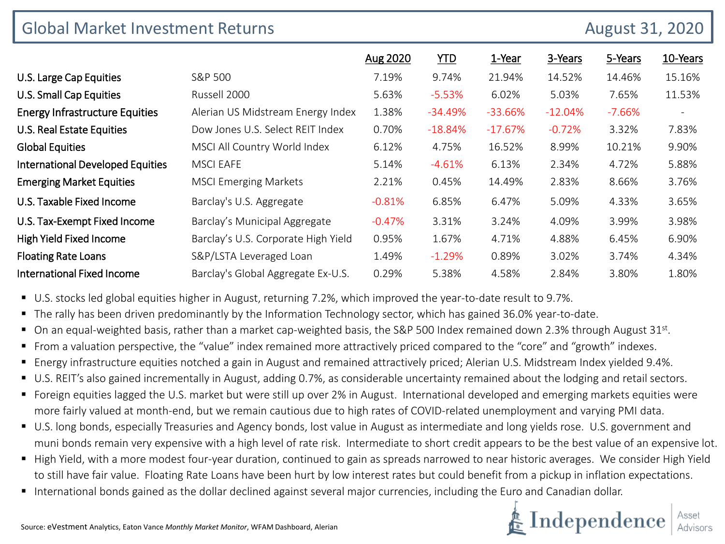| <b>Global Market Investment Returns</b> |                                     |          |            |           | <b>August 31, 2020</b> |          |                          |
|-----------------------------------------|-------------------------------------|----------|------------|-----------|------------------------|----------|--------------------------|
|                                         |                                     | Aug 2020 | <b>YTD</b> | 1-Year    | 3-Years                | 5-Years  | 10-Years                 |
| U.S. Large Cap Equities                 | S&P 500                             | 7.19%    | 9.74%      | 21.94%    | 14.52%                 | 14.46%   | 15.16%                   |
| U.S. Small Cap Equities                 | Russell 2000                        | 5.63%    | $-5.53%$   | 6.02%     | 5.03%                  | 7.65%    | 11.53%                   |
| <b>Energy Infrastructure Equities</b>   | Alerian US Midstream Energy Index   | 1.38%    | $-34.49%$  | $-33.66%$ | $-12.04%$              | $-7.66%$ | $\overline{\phantom{a}}$ |
| U.S. Real Estate Equities               | Dow Jones U.S. Select REIT Index    | 0.70%    | $-18.84%$  | $-17.67%$ | $-0.72%$               | 3.32%    | 7.83%                    |
| <b>Global Equities</b>                  | MSCI All Country World Index        | 6.12%    | 4.75%      | 16.52%    | 8.99%                  | 10.21%   | 9.90%                    |
| <b>International Developed Equities</b> | <b>MSCI EAFE</b>                    | 5.14%    | $-4.61%$   | 6.13%     | 2.34%                  | 4.72%    | 5.88%                    |
| <b>Emerging Market Equities</b>         | <b>MSCI Emerging Markets</b>        | 2.21%    | 0.45%      | 14.49%    | 2.83%                  | 8.66%    | 3.76%                    |
| U.S. Taxable Fixed Income               | Barclay's U.S. Aggregate            | $-0.81%$ | 6.85%      | 6.47%     | 5.09%                  | 4.33%    | 3.65%                    |
| U.S. Tax-Exempt Fixed Income            | Barclay's Municipal Aggregate       | $-0.47%$ | 3.31%      | 3.24%     | 4.09%                  | 3.99%    | 3.98%                    |
| High Yield Fixed Income                 | Barclay's U.S. Corporate High Yield | 0.95%    | 1.67%      | 4.71%     | 4.88%                  | 6.45%    | 6.90%                    |
| <b>Floating Rate Loans</b>              | S&P/LSTA Leveraged Loan             | 1.49%    | $-1.29%$   | 0.89%     | 3.02%                  | 3.74%    | 4.34%                    |
| International Fixed Income              | Barclay's Global Aggregate Ex-U.S.  | 0.29%    | 5.38%      | 4.58%     | 2.84%                  | 3.80%    | 1.80%                    |

U.S. stocks led global equities higher in August, returning 7.2%, which improved the year-to-date result to 9.7%.

- The rally has been driven predominantly by the Information Technology sector, which has gained 36.0% year-to-date.
- On an equal-weighted basis, rather than a market cap-weighted basis, the S&P 500 Index remained down 2.3% through August 31st.
- From a valuation perspective, the "value" index remained more attractively priced compared to the "core" and "growth" indexes.
- Energy infrastructure equities notched a gain in August and remained attractively priced; Alerian U.S. Midstream Index yielded 9.4%.
- U.S. REIT's also gained incrementally in August, adding 0.7%, as considerable uncertainty remained about the lodging and retail sectors.
- Foreign equities lagged the U.S. market but were still up over 2% in August. International developed and emerging markets equities were more fairly valued at month-end, but we remain cautious due to high rates of COVID-related unemployment and varying PMI data.
- U.S. long bonds, especially Treasuries and Agency bonds, lost value in August as intermediate and long yields rose. U.S. government and muni bonds remain very expensive with a high level of rate risk. Intermediate to short credit appears to be the best value of an expensive lot.
- High Yield, with a more modest four-year duration, continued to gain as spreads narrowed to near historic averages. We consider High Yield to still have fair value. Floating Rate Loans have been hurt by low interest rates but could benefit from a pickup in inflation expectations.
- International bonds gained as the dollar declined against several major currencies, including the Euro and Canadian dollar.

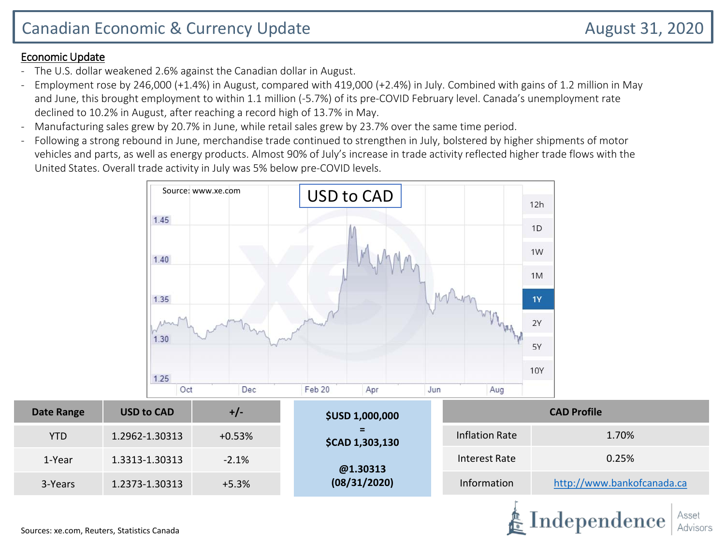#### Economic Update

- The U.S. dollar weakened 2.6% against the Canadian dollar in August.
- Employment rose by 246,000 (+1.4%) in August, compared with 419,000 (+2.4%) in July. Combined with gains of 1.2 million in May and June, this brought employment to within 1.1 million (-5.7%) of its pre-COVID February level. Canada's unemployment rate declined to 10.2% in August, after reaching a record high of 13.7% in May.
- Manufacturing sales grew by 20.7% in June, while retail sales grew by 23.7% over the same time period.
- Following a strong rebound in June, merchandise trade continued to strengthen in July, bolstered by higher shipments of motor vehicles and parts, as well as energy products. Almost 90% of July's increase in trade activity reflected higher trade flows with the United States. Overall trade activity in July was 5% below pre-COVID levels.

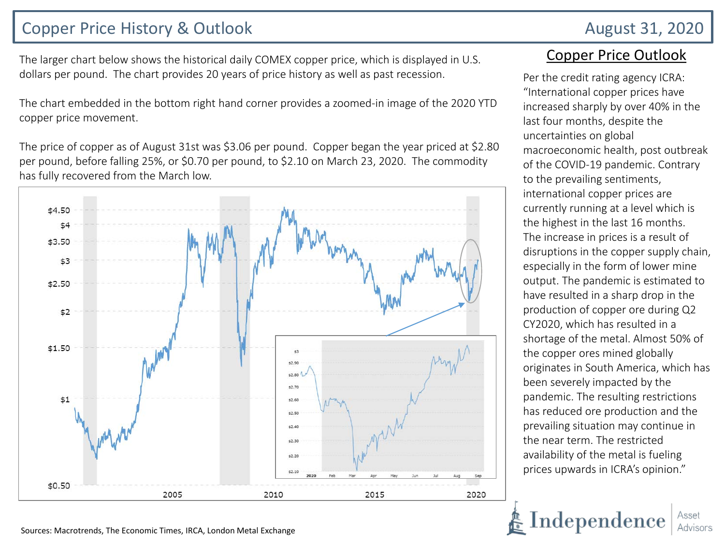## Copper Price History & Outlook **August 31, 2020**

The larger chart below shows the historical daily COMEX copper price, which is displayed in U.S. dollars per pound. The chart provides 20 years of price history as well as past recession.

The chart embedded in the bottom right hand corner provides a zoomed-in image of the 2020 YTD copper price movement.

The price of copper as of August 31st was \$3.06 per pound. Copper began the year priced at \$2.80 per pound, before falling 25%, or \$0.70 per pound, to \$2.10 on March 23, 2020. The commodity has fully recovered from the March low.



#### Copper Price Outlook

Per the credit rating agency ICRA: "International copper prices have increased sharply by over 40% in the last four months, despite the uncertainties on global macroeconomic health, post outbreak of the COVID-19 pandemic. Contrary to the prevailing sentiments, international copper prices are currently running at a level which is the highest in the last 16 months. The increase in prices is a result of disruptions in the copper supply chain, especially in the form of lower mine output. The pandemic is estimated to have resulted in a sharp drop in the production of copper ore during Q2 CY2020, which has resulted in a shortage of the metal. Almost 50% of the copper ores mined globally originates in South America, which has been severely impacted by the pandemic. The resulting restrictions has reduced ore production and the prevailing situation may continue in the near term. The restricted availability of the metal is fueling prices upwards in ICRA's opinion."